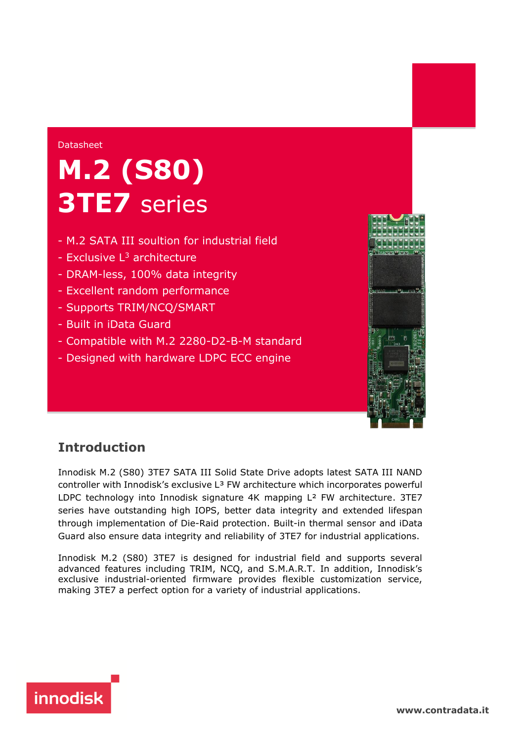#### Datasheet

# **M.2 (S80) 3TE7** series

- M.2 SATA III soultion for industrial field
- Exclusive  $L^3$  architecture
- DRAM-less, 100% data integrity
- Excellent random performance
- Supports TRIM/NCQ/SMART
- Built in iData Guard
- Compatible with M.2 2280-D2-B-M standard
- Designed with hardware LDPC ECC engine



### **Introduction**

Innodisk M.2 (S80) 3TE7 SATA III Solid State Drive adopts latest SATA III NAND controller with Innodisk's exclusive  $L^3$  FW architecture which incorporates powerful LDPC technology into Innodisk signature 4K mapping L<sup>2</sup> FW architecture, 3TE7 series have outstanding high IOPS, better data integrity and extended lifespan through implementation of Die-Raid protection. Built-in thermal sensor and iData Guard also ensure data integrity and reliability of 3TE7 for industrial applications.

Innodisk M.2 (S80) 3TE7 is designed for industrial field and supports several advanced features including TRIM, NCQ, and S.M.A.R.T. In addition, Innodisk's exclusive industrial-oriented firmware provides flexible customization service, making 3TE7 a perfect option for a variety of industrial applications.



**[www.](http://www.contradata.it)[contradata.it](http://www.contradata.it)**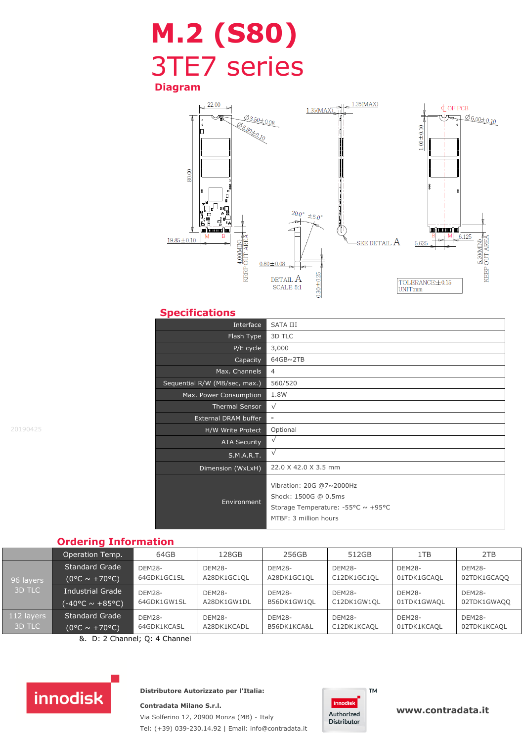# **M.2 (S80)** 3TE7 series

**Diagram**



### **Specifications**

| Interface                     | <b>SATA III</b>                                                                                                 |
|-------------------------------|-----------------------------------------------------------------------------------------------------------------|
| Flash Type                    | 3D TLC                                                                                                          |
| P/E cycle                     | 3,000                                                                                                           |
| Capacity                      | $64GB \sim 2TB$                                                                                                 |
| Max. Channels                 | 4                                                                                                               |
| Sequential R/W (MB/sec, max.) | 560/520                                                                                                         |
| Max. Power Consumption        | 1.8W                                                                                                            |
| <b>Thermal Sensor</b>         | $\sqrt{}$                                                                                                       |
| External DRAM buffer          | $\qquad \qquad \blacksquare$                                                                                    |
| H/W Write Protect             | Optional                                                                                                        |
| <b>ATA Security</b>           | $\sqrt{}$                                                                                                       |
| S.M.A.R.T.                    | $\sqrt{}$                                                                                                       |
| Dimension (WxLxH)             | 22.0 X 42.0 X 3.5 mm                                                                                            |
| Environment                   | Vibration: 20G @7~2000Hz<br>Shock: 1500G @ 0.5ms<br>Storage Temperature: -55°C ~ +95°C<br>MTBF: 3 million hours |

#### **Ordering Information**

|                      | Operation Temp.                                           | 64GB                         | 128GB                        | 256GB                        | 512GB                        | 1TB                          | 2TB                          |
|----------------------|-----------------------------------------------------------|------------------------------|------------------------------|------------------------------|------------------------------|------------------------------|------------------------------|
| 96 layers<br>3D TLC  | <b>Standard Grade</b><br>$(0^{\circ}C \sim +70^{\circ}C)$ | <b>DEM28-</b><br>64GDK1GC1SL | <b>DEM28-</b><br>A28DK1GC1QL | <b>DEM28-</b><br>A28DK1GC1QL | <b>DEM28-</b><br>C12DK1GC1QL | <b>DEM28-</b><br>01TDK1GCAQL | <b>DEM28-</b><br>02TDK1GCAQQ |
|                      | <b>Industrial Grade</b><br>(-40°C ~ +85°C)                | <b>DEM28-</b><br>64GDK1GW1SL | <b>DEM28-</b><br>A28DK1GW1DL | <b>DEM28-</b><br>B56DK1GW1OL | <b>DEM28-</b><br>C12DK1GW1OL | <b>DEM28-</b><br>01TDK1GWAOL | <b>DEM28-</b><br>02TDK1GWAOO |
| 112 layers<br>3D TLC | <b>Standard Grade</b><br>$(0^{\circ}$ C ~ +70°C)          | DEM28-<br>64GDK1KCASL        | <b>DEM28-</b><br>A28DK1KCADL | <b>DEM28-</b><br>B56DK1KCA&L | <b>DEM28-</b><br>C12DK1KCAQL | <b>DEM28-</b><br>01TDK1KCAQL | <b>DEM28-</b><br>02TDK1KCAQL |

&. D: 2 Channel; Q: 4 Channel



#### **Distributore Autorizzato per l'Italia:**

**Contradata Milano S.r.l.** Via Solferino 12, 20900 Monza (MB) - Italy Tel: (+39) 039-230.14.92 | Email: [info@contradata.it](mailto:info@contradata.it)



**[www.](http://www.contradata.it)[contradata.it](http://www.contradata.it)**

20190425